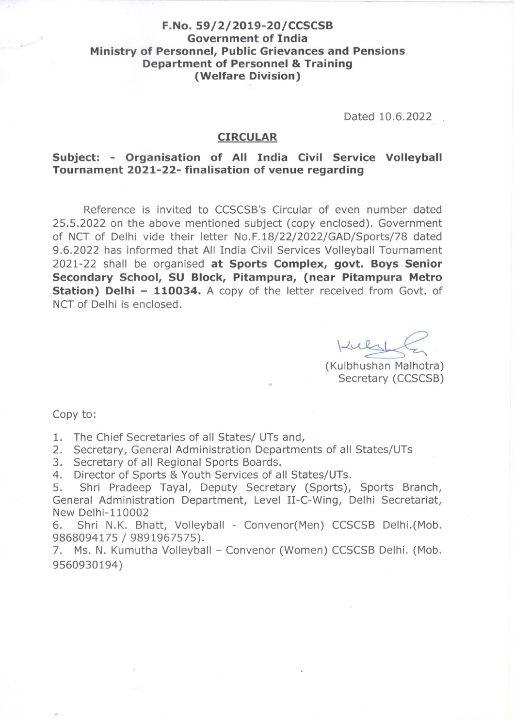### F.No. 59/2/2019-20/CCSCSB **Government of India** Ministry of Personnel, Public Grievances and Pensions **Department of Personnel & Training** (Welfare Division)

Dated 10.6.2022

### **CIRCULAR**

### Subject: - Organisation of All India Civil Service Volleyball Tournament 2021-22- finalisation of venue regarding

Reference is invited to CCSCSB's Circular of even number dated 25.5.2022 on the above mentioned subject (copy enclosed). Government of NCT of Delhi vide their letter No.F.18/22/2022/GAD/Sports/78 dated 9.6.2022 has informed that All India Civil Services Volleyball Tournament 2021-22 shall be organised at Sports Complex, govt. Boys Senior Secondary School, SU Block, Pitampura, (near Pitampura Metro Station) Delhi - 110034. A copy of the letter received from Govt. of NCT of Delhi is enclosed.

Kuli

(Kulbhushan Malhotra) Secretary (CCSCSB)

Copy to:

1. The Chief Secretaries of all States/ UTs and,

2. Secretary, General Administration Departments of all States/UTs

3. Secretary of all Regional Sports Boards.

Director of Sports & Youth Services of all States/UTs.  $4.$ 

Shri Pradeep Tayal, Deputy Secretary (Sports), Sports Branch, 5. General Administration Department, Level II-C-Wing, Delhi Secretariat, New Delhi-110002

Shri N.K. Bhatt, Volleyball - Convenor(Men) CCSCSB Delhi.(Mob. 6. 9868094175 / 9891967575).

7. Ms. N. Kumutha Volleyball - Convenor (Women) CCSCSB Delhi. (Mob. 9560930194)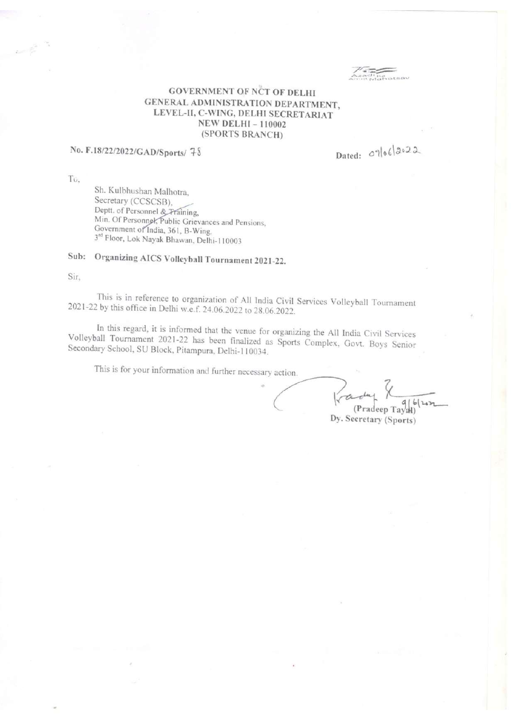#### **GOVERNMENT OF NCT OF DELHI** GENERAL ADMINISTRATION DEPARTMENT, LEVEL-II, C-WING, DELHI SECRETARIAT **NEW DELHI-110002** (SPORTS BRANCH)

## No. F.18/22/2022/GAD/Sports/ 78

Dated:  $\circ$ lo 6/2022

To.

Sh. Kulbhushan Malhotra, Secretary (CCSCSB), Deptt. of Personnel & Fraining, Min. Of Personnel, Public Grievances and Pensions, Government of India, 361, B-Wing, 3rd Floor, Lok Nayak Bhawan, Delhi-110003

# Sub: Organizing AICS Volleyball Tournament 2021-22.

Sir.

This is in reference to organization of All India Civil Services Volleyball Tournament 2021-22 by this office in Delhi w.e.f. 24.06.2022 to 28.06.2022.

In this regard, it is informed that the venue for organizing the All India Civil Services Volleyball Tournament 2021-22 has been finalized as Sports Complex, Govt. Boys Senior Secondary School, SU Block, Pitampura, Delhi-110034.

This is for your information and further necessary action.

ra  $Tay2H$ (Pradeep Dy. Secretary (Sports)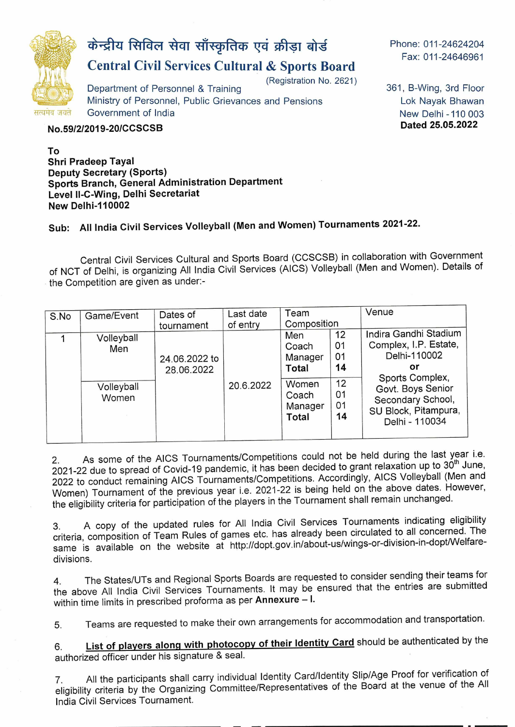

# $\dot{x}$  केन्द्रीय सिविल सेवा साँस्कृतिक एवं क्रीड़ा बोर्ड

# **Central Civil Services Cultural & Sports Board**

(Registration No. 2621)

Department of Personnel & Training Ministry of Personnel, Public Grievances and Pensions Government of India

**No.591212019-2OICCSCSB** 

**To Shri Pradeep Tayal Deputy Secretary (Sports) Sports Branch, General Administration Department Level** Il**-C-Wing, Delhi Secretariat New Delhi-110002** 

361, B-Wing, 3rd Floor Lok Nayak Bhawan New Delhi -110 003

**Dated 25.05.2022** 

Phone: 011-24624204 Fax: 011-24646961

# **Sub: All India Civil Services Volleyball (Men and Women) Tournaments 2021-22.**

Central Civil Services Cultural and Sports Board (CCSCSB) in collaboration with Government of NCT of Delhi, is organizing All India Civil Services (AICS) Volleyball (Men and Women). Details of the Competition are given as under:-

| S.No | Game/Event                               | Dates of<br>tournament      | Last date<br>of entry | Team<br>Composition                                                           |                                              | Venue                                                                                                                                                                       |
|------|------------------------------------------|-----------------------------|-----------------------|-------------------------------------------------------------------------------|----------------------------------------------|-----------------------------------------------------------------------------------------------------------------------------------------------------------------------------|
|      | Volleyball<br>Men<br>Volleyball<br>Women | 24.06.2022 to<br>28.06.2022 | 20.6.2022             | Men<br>Coach<br>Manager<br><b>Total</b><br>Women<br>Coach<br>Manager<br>Total | 12<br>01<br>01<br>14<br>12<br>01<br>01<br>14 | Indira Gandhi Stadium<br>Complex, I.P. Estate,<br>Delhi-110002<br>or<br>Sports Complex,<br>Govt. Boys Senior<br>Secondary School,<br>SU Block, Pitampura,<br>Delhi - 110034 |

2. As some of the AICS Tournaments/Competitions could not be held during the last year i.e. 2. As some of the AICS Tournaments/Competitions coald not be not dailing the to 30th June,<br>2021-22 due to spread of Covid-19 pandemic, it has been decided to grant relaxation up to 30<sup>th</sup> June, 2022 to conduct remaining AICS Tournaments/Competitions. Accordingly, AlCS Volleyball (Men and Women) Tournament of the previous year i.e. 2021-22 is being held on the above dates. However, the eligibility criteria for participation of the players in the Tournament shall remain unchanged.

3. A copy of the updated rules for All India Civil Services Tournaments indicating eligibility criteria, composition of Team Rules of games etc. has already been circulated to all concerned. The same is available on the website at http://dopt.gov.in/about-us/wings-or-division-in-dopt/Welfaredivisions.

4. The States/UTs and Regional Sports Boards are requested to consider sending their teams for the above All India Civil Services Tournaments. It may be ensured that the entries are submitted within time limits in prescribed proforma as per **Annexure** — I.

5. Teams are requested to make their own arrangements for accommodation and transportation.

**6. List of players alonq with photocopy of their Identity Card** should be authenticated by the authorized officer under his signature & seal.

7. All the participants shall carry individual Identity Card/Identity Slip/Age Proof for verification of eligibility criteria by the Organizing Committee/Representatives of the Board at the venue of the All India Civil Services Tournament.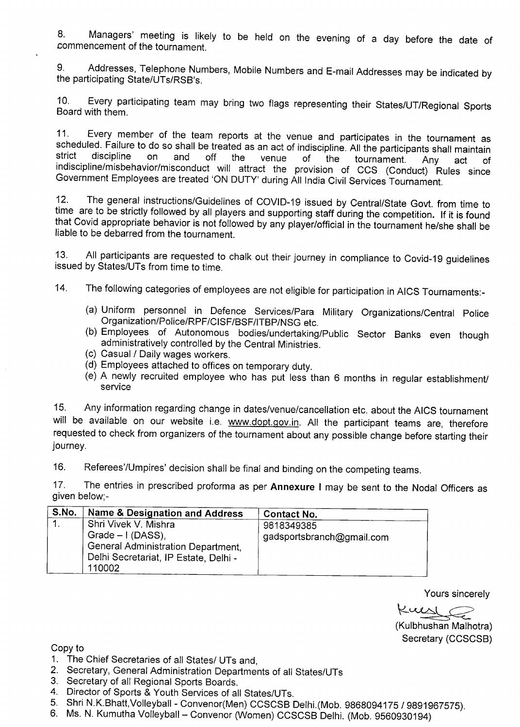8. Managers' meeting is likely to be held on the evening of a day before the date of commencement of the tournament.

9. Addresses, Telephone Numbers, Mobile Numbers and E-mail Addresses may be indicated by the participating State/UTs/RSB's.

10. Every participating team may bring two flags representing their States/UT/Regional Sports Board with them.

11. Every member of the team reports at the venue and participates in the tournament as scheduled. Failure to do so shall be treated as an act of indiscipline. All the participants shall maintain strict discipline on and off the venue of the tournament. Any act of strict discipline on and off the venue of the tournament. Any act of<br>indiscipline/misbehavior/misconduct will attract the provision of CCS (Conduct) Rules since Government Employees are treated 'ON DUTY' during All India Civil Services Tournament.

12. The general instructions/Guidelines of COVlD-19 issued by Central/State Govt. from time to time are to be strictly followed by all players and supporting staff during the competition. If it is found that Covid appropriate behavior is not followed by any player/official in the tournament he/she shall be liable to be debarred from the tournament.

13. All participants are requested to chalk out their journey in compliance to Covid-19 guidelines issued by States/UTs from time to time.

14. The following categories of employees are not eligible for participation in AICS Tournaments:-

- (a) Uniform personnel in Defence Services/Para Military Organizations/Central Police Organization/Police/RPF/CISF/BSF/ITBP/NSG etc.
- (b) Employees of Autonomous bodies/undertaking/Public Sector Banks even though administratively controlled by the Central Ministries.
- (c) Casual / Daily wages workers.
- (d) Employees attached to offices on temporary duty.
- (e) A newly recruited employee who has put less than 6 months in regular establishment/ service

15. Any information regarding change in dates/venue/cancellation etc. about the AICS tournament will be available on our website i.e. www.dopt.gov.in. All the participant teams are, therefore requested to check from organizers of the tournament about any possible change before starting their journey.

16. Referees'/Umpires' decision shall be final and binding on the competing teams.

17. The entries in prescribed proforma as per **Annexure I** may be sent to the Nodal Officers as given below;-

| ∣ S.No. | Name & Designation and Address                                                                                            | <b>Contact No.</b>                      |
|---------|---------------------------------------------------------------------------------------------------------------------------|-----------------------------------------|
|         | Shri Vivek V. Mishra<br>Grade $-1$ (DASS).<br>General Administration Department,<br>Delhi Secretariat, IP Estate, Delhi - | 9818349385<br>gadsportsbranch@gmail.com |
|         | 110002                                                                                                                    |                                         |

Yours sincerely

Kursl (

(Kulbhushan Malhotra) Secretary (CCSCSB)

Copy to

- 1. The Chief Secretaries of all States/ UTs and,
- 2. Secretary, General Administration Departments of all States/UTs
- 3. Secretary of all Regional Sports Boards.
- 4. Director of Sports & Youth Services of all States/UTs.
- 5. Shri N.K.Bhatt,Volleyball Convenor(Men) CCSCSB Delhi.(Mob. 9868094175 / 9891967575).
- 6. Ms. N. Kumutha Volleyball Convenor (Women) CCSCSB Delhi. (Mob. 9560930194)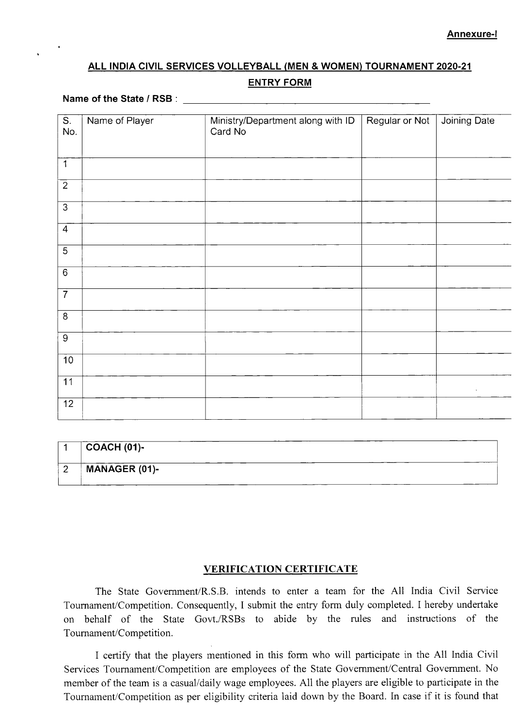### **ALL INDIA CIVIL SERVICES VOLLEYBALL (MEN** & **WOMEN) TOURNAMENT 2020-21**

#### **ENTRY FORM**

#### **Name of the State / RSB:**  $\blacksquare$

| S.             | Name of Player | Ministry/Department along with ID | Regular or Not | Joining Date       |
|----------------|----------------|-----------------------------------|----------------|--------------------|
| No.            |                | Card No                           |                |                    |
|                |                |                                   |                |                    |
|                |                |                                   |                |                    |
| $\mathbf{1}$   |                |                                   |                |                    |
|                |                |                                   |                |                    |
| $\overline{2}$ |                |                                   |                |                    |
|                |                |                                   |                |                    |
| $\overline{3}$ |                |                                   |                |                    |
|                |                |                                   |                |                    |
| $\overline{4}$ |                |                                   |                |                    |
|                |                |                                   |                |                    |
| $\overline{5}$ |                |                                   |                |                    |
|                |                |                                   |                |                    |
| $\overline{6}$ |                |                                   |                |                    |
|                |                |                                   |                |                    |
| $\overline{7}$ |                |                                   |                |                    |
|                |                |                                   |                |                    |
| 8              |                |                                   |                |                    |
|                |                |                                   |                |                    |
| $\overline{9}$ |                |                                   |                |                    |
|                |                |                                   |                |                    |
| 10             |                |                                   |                |                    |
|                |                |                                   |                |                    |
| 11             |                |                                   |                |                    |
|                |                |                                   |                | $\mathbf{A}^{(1)}$ |
| 12             |                |                                   |                |                    |
|                |                |                                   |                |                    |

|        | $\mid$ COACH (01)-   |
|--------|----------------------|
| $\sim$ | <b>MANAGER (01)-</b> |

#### **VERIFICATION CERTIFICATE**

The State Government/R.S.B. intends to enter a team for the All India Civil Service Tournament/Competition. Consequently, I submit the entry form duly completed. I hereby undertake on behalf of the State Govt./RSBs to abide by the rules and instructions of the Tournament/Competition.

I certify that the players mentioned in this form who will participate in the All India Civil Services Tournament/Competition are employees of the State Government/Central Government. No member of the team is a casual/daily wage employees. All the players are eligible to participate in the Tournament/Competition as per eligibility criteria laid down by the Board. In case if it is found that